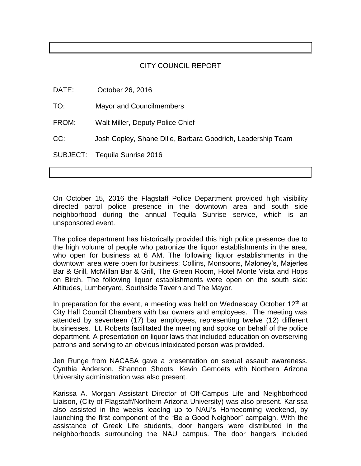## CITY COUNCIL REPORT

| DATE:    | October 26, 2016                                            |
|----------|-------------------------------------------------------------|
| TO:      | <b>Mayor and Councilmembers</b>                             |
| FROM:    | Walt Miller, Deputy Police Chief                            |
| CC:      | Josh Copley, Shane Dille, Barbara Goodrich, Leadership Team |
| SUBJECT: | Tequila Sunrise 2016                                        |

On October 15, 2016 the Flagstaff Police Department provided high visibility directed patrol police presence in the downtown area and south side neighborhood during the annual Tequila Sunrise service, which is an unsponsored event.

The police department has historically provided this high police presence due to the high volume of people who patronize the liquor establishments in the area, who open for business at 6 AM. The following liquor establishments in the downtown area were open for business: Collins, Monsoons, Maloney's, Majerles Bar & Grill, McMillan Bar & Grill, The Green Room, Hotel Monte Vista and Hops on Birch. The following liquor establishments were open on the south side: Altitudes, Lumberyard, Southside Tavern and The Mayor.

In preparation for the event, a meeting was held on Wednesdav October 12<sup>th</sup> at City Hall Council Chambers with bar owners and employees. The meeting was attended by seventeen (17) bar employees, representing twelve (12) different businesses. Lt. Roberts facilitated the meeting and spoke on behalf of the police department. A presentation on liquor laws that included education on overserving patrons and serving to an obvious intoxicated person was provided.

Jen Runge from NACASA gave a presentation on sexual assault awareness. Cynthia Anderson, Shannon Shoots, Kevin Gemoets with Northern Arizona University administration was also present.

Karissa A. Morgan Assistant Director of Off-Campus Life and Neighborhood Liaison, (City of Flagstaff/Northern Arizona University) was also present. Karissa also assisted in the weeks leading up to NAU's Homecoming weekend, by launching the first component of the "Be a Good Neighbor" campaign. With the assistance of Greek Life students, door hangers were distributed in the neighborhoods surrounding the NAU campus. The door hangers included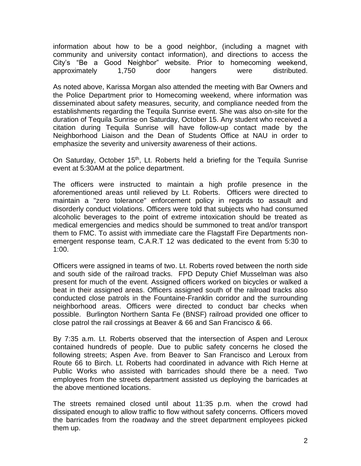information about how to be a good neighbor, (including a magnet with community and university contact information), and directions to access the City's "Be a Good Neighbor" website. Prior to homecoming weekend, approximately 1,750 door hangers were distributed.

As noted above, Karissa Morgan also attended the meeting with Bar Owners and the Police Department prior to Homecoming weekend, where information was disseminated about safety measures, security, and compliance needed from the establishments regarding the Tequila Sunrise event. She was also on-site for the duration of Tequila Sunrise on Saturday, October 15. Any student who received a citation during Tequila Sunrise will have follow-up contact made by the Neighborhood Liaison and the Dean of Students Office at NAU in order to emphasize the severity and university awareness of their actions.

On Saturday, October 15<sup>th</sup>, Lt. Roberts held a briefing for the Tequila Sunrise event at 5:30AM at the police department.

The officers were instructed to maintain a high profile presence in the aforementioned areas until relieved by Lt. Roberts. Officers were directed to maintain a "zero tolerance" enforcement policy in regards to assault and disorderly conduct violations. Officers were told that subjects who had consumed alcoholic beverages to the point of extreme intoxication should be treated as medical emergencies and medics should be summoned to treat and/or transport them to FMC. To assist with immediate care the Flagstaff Fire Departments nonemergent response team, C.A.R.T 12 was dedicated to the event from 5:30 to 1:00.

Officers were assigned in teams of two. Lt. Roberts roved between the north side and south side of the railroad tracks. FPD Deputy Chief Musselman was also present for much of the event. Assigned officers worked on bicycles or walked a beat in their assigned areas. Officers assigned south of the railroad tracks also conducted close patrols in the Fountaine-Franklin corridor and the surrounding neighborhood areas. Officers were directed to conduct bar checks when possible. Burlington Northern Santa Fe (BNSF) railroad provided one officer to close patrol the rail crossings at Beaver & 66 and San Francisco & 66.

By 7:35 a.m. Lt. Roberts observed that the intersection of Aspen and Leroux contained hundreds of people. Due to public safety concerns he closed the following streets; Aspen Ave. from Beaver to San Francisco and Leroux from Route 66 to Birch. Lt. Roberts had coordinated in advance with Rich Herne at Public Works who assisted with barricades should there be a need. Two employees from the streets department assisted us deploying the barricades at the above mentioned locations.

The streets remained closed until about 11:35 p.m. when the crowd had dissipated enough to allow traffic to flow without safety concerns. Officers moved the barricades from the roadway and the street department employees picked them up.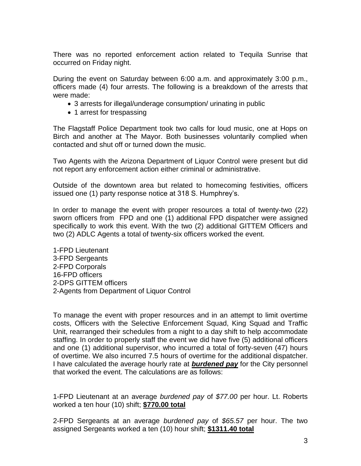There was no reported enforcement action related to Tequila Sunrise that occurred on Friday night.

During the event on Saturday between 6:00 a.m. and approximately 3:00 p.m., officers made (4) four arrests. The following is a breakdown of the arrests that were made:

- 3 arrests for illegal/underage consumption/ urinating in public
- 1 arrest for trespassing

The Flagstaff Police Department took two calls for loud music, one at Hops on Birch and another at The Mayor. Both businesses voluntarily complied when contacted and shut off or turned down the music.

Two Agents with the Arizona Department of Liquor Control were present but did not report any enforcement action either criminal or administrative.

Outside of the downtown area but related to homecoming festivities, officers issued one (1) party response notice at 318 S. Humphrey's.

In order to manage the event with proper resources a total of twenty-two (22) sworn officers from FPD and one (1) additional FPD dispatcher were assigned specifically to work this event. With the two (2) additional GITTEM Officers and two (2) ADLC Agents a total of twenty-six officers worked the event.

1-FPD Lieutenant 3-FPD Sergeants 2-FPD Corporals 16-FPD officers 2-DPS GITTEM officers 2-Agents from Department of Liquor Control

To manage the event with proper resources and in an attempt to limit overtime costs, Officers with the Selective Enforcement Squad, King Squad and Traffic Unit, rearranged their schedules from a night to a day shift to help accommodate staffing. In order to properly staff the event we did have five (5) additional officers and one (1) additional supervisor, who incurred a total of forty-seven (47) hours of overtime. We also incurred 7.5 hours of overtime for the additional dispatcher. I have calculated the average hourly rate at *burdened pay* for the City personnel that worked the event. The calculations are as follows:

1-FPD Lieutenant at an average *burdened pay* of *\$77.00* per hour. Lt. Roberts worked a ten hour (10) shift; **\$770.00 total**

2-FPD Sergeants at an average *burdened pay* of *\$65.57* per hour. The two assigned Sergeants worked a ten (10) hour shift; **\$1311.40 total**